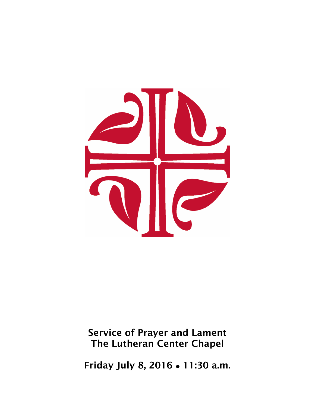

Service of Prayer and Lament The Lutheran Center Chapel

Friday July 8, 2016 . 11:30 a.m.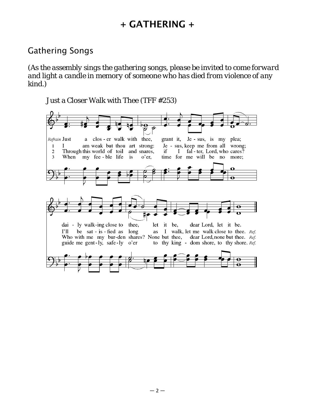# + GATHERING +

### Gathering Songs

*(As the assembly sings the gathering songs, please be invited to come forward and light a candle in memory of someone who has died from violence of any kind.)* 

Just a Closer Walk with Thee (TFF #253)

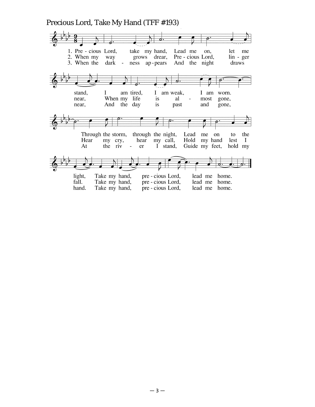Precious Lord, Take My Hand (TFF #193)

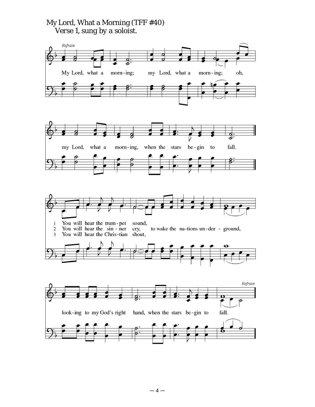My Lord, What a Morning (TFF #40) *Verse 1, sung by a soloist.* 

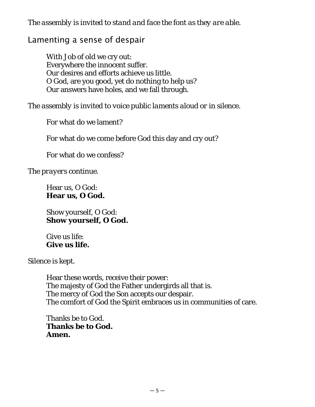*The assembly is invited to stand and face the font as they are able.* 

### Lamenting a sense of despair

With Job of old we cry out: Everywhere the innocent suffer. Our desires and efforts achieve us little. O God, are you good, yet do nothing to help us? Our answers have holes, and we fall through.

*The assembly is invited to voice public laments aloud or in silence.* 

For what do we lament?

For what do we come before God this day and cry out?

For what do we confess?

*The prayers continue.* 

 Hear us, O God:  **Hear us, O God.** 

 Show yourself, O God:  **Show yourself, O God.** 

 Give us life:  **Give us life.**

*Silence is kept.*

 Hear these words, receive their power: The majesty of God the Father undergirds all that is. The mercy of God the Son accepts our despair. The comfort of God the Spirit embraces us in communities of care.

 Thanks be to God. **Thanks be to God. Amen.**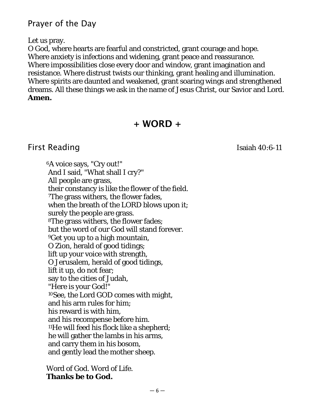### Prayer of the Day

Let us pray.

O God, where hearts are fearful and constricted, grant courage and hope. Where anxiety is infections and widening, grant peace and reassurance. Where impossibilities close every door and window, grant imagination and resistance. Where distrust twists our thinking, grant healing and illumination. Where spirits are daunted and weakened, grant soaring wings and strengthened dreams. All these things we ask in the name of Jesus Christ, our Savior and Lord. **Amen.** 

### $+$  WORD  $+$

### First Reading Isaiah 40:6-11

6A voice says, "Cry out!" And I said, "What shall I cry?" All people are grass, their constancy is like the flower of the field. 7The grass withers, the flower fades, when the breath of the LORD blows upon it; surely the people are grass. 8The grass withers, the flower fades; but the word of our God will stand forever. 9Get you up to a high mountain, O Zion, herald of good tidings; lift up your voice with strength, O Jerusalem, herald of good tidings, lift it up, do not fear; say to the cities of Judah, "Here is your God!" 10See, the Lord GOD comes with might, and his arm rules for him; his reward is with him, and his recompense before him. 11He will feed his flock like a shepherd; he will gather the lambs in his arms, and carry them in his bosom, and gently lead the mother sheep.

 Word of God. Word of Life.  **Thanks be to God.**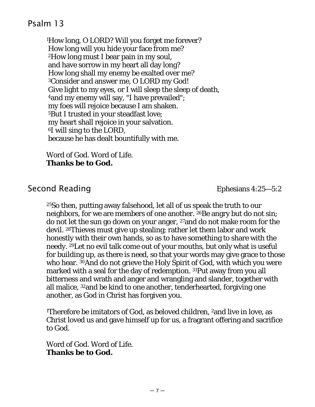### Psalm 13

1How long, O LORD? Will you forget me forever? How long will you hide your face from me? 2How long must I bear pain in my soul, and have sorrow in my heart all day long? How long shall my enemy be exalted over me? 3Consider and answer me, O LORD my God! Give light to my eyes, or I will sleep the sleep of death, 4and my enemy will say, "I have prevailed"; my foes will rejoice because I am shaken. <sup>5</sup>But I trusted in your steadfast love; my heart shall rejoice in your salvation. 6I will sing to the LORD, because he has dealt bountifully with me.

 Word of God. Word of Life.  **Thanks be to God.** 

#### Second Reading Ephesians 4:25–5:2

25So then, putting away falsehood, let all of us speak the truth to our neighbors, for we are members of one another. 26Be angry but do not sin; do not let the sun go down on your anger, 27and do not make room for the devil. 28Thieves must give up stealing; rather let them labor and work honestly with their own hands, so as to have something to share with the needy. 29Let no evil talk come out of your mouths, but only what is useful for building up, as there is need, so that your words may give grace to those who hear. 30And do not grieve the Holy Spirit of God, with which you were marked with a seal for the day of redemption. 31Put away from you all bitterness and wrath and anger and wrangling and slander, together with all malice, 32and be kind to one another, tenderhearted, forgiving one another, as God in Christ has forgiven you.

<sup>1</sup>Therefore be imitators of God, as beloved children, <sup>2</sup>and live in love, as Christ loved us and gave himself up for us, a fragrant offering and sacrifice to God.

 Word of God. Word of Life.  **Thanks be to God.**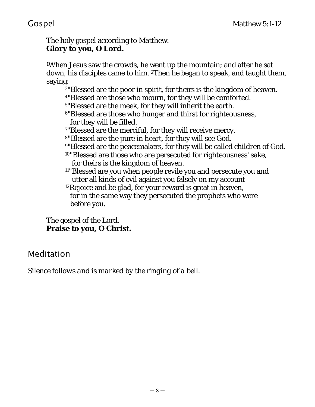#### The holy gospel according to Matthew.  **Glory to you, O Lord.**

1When Jesus saw the crowds, he went up the mountain; and after he sat down, his disciples came to him. 2Then he began to speak, and taught them, saying:

<sup>3"</sup>Blessed are the poor in spirit, for theirs is the kingdom of heaven.

- 4"Blessed are those who mourn, for they will be comforted.
- 5"Blessed are the meek, for they will inherit the earth.
- 6"Blessed are those who hunger and thirst for righteousness, for they will be filled.
- 7"Blessed are the merciful, for they will receive mercy.
- 8"Blessed are the pure in heart, for they will see God.
- 9"Blessed are the peacemakers, for they will be called children of God.
- 10"Blessed are those who are persecuted for righteousness' sake, for theirs is the kingdom of heaven.

11"Blessed are you when people revile you and persecute you and utter all kinds of evil against you falsely on my account

12Rejoice and be glad, for your reward is great in heaven, for in the same way they persecuted the prophets who were before you.

 The gospel of the Lord.  **Praise to you, O Christ.** 

## Meditation

*Silence follows and is marked by the ringing of a bell.*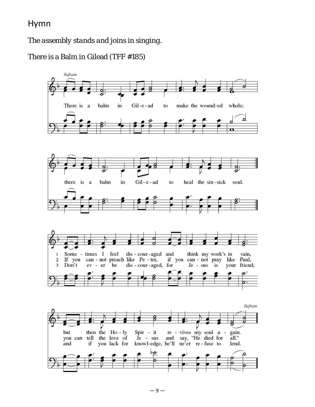#### Hymn

The assembly stands and joins in singing.

#### There is a Balm in Gilead (TFF #185)

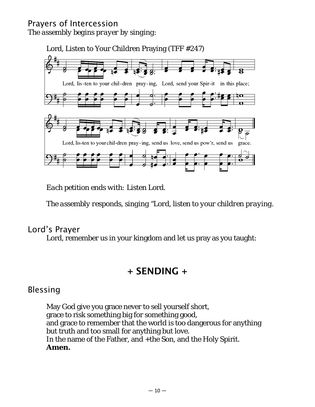#### Prayers of Intercession *The assembly begins prayer by singing:*



*Each petition ends with:* Listen Lord.

 *The assembly responds, singing "Lord, listen to your children praying.* 

### Lord's Prayer

Lord, remember us in your kingdom and let us pray as you taught:

# + SENDING +

### Blessing

 May God give you grace never to sell yourself short, grace to risk something big for something good, and grace to remember that the world is too dangerous for anything but truth and too small for anything but love. In the name of the Father, and +the Son, and the Holy Spirit. **Amen.**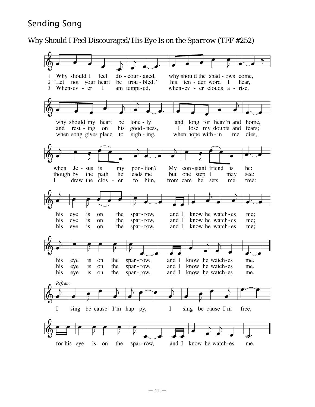### **Sending Song**

#### Why Should I Feel Discouraged/*His Eye Is on the Sparrow* (TFF #252)